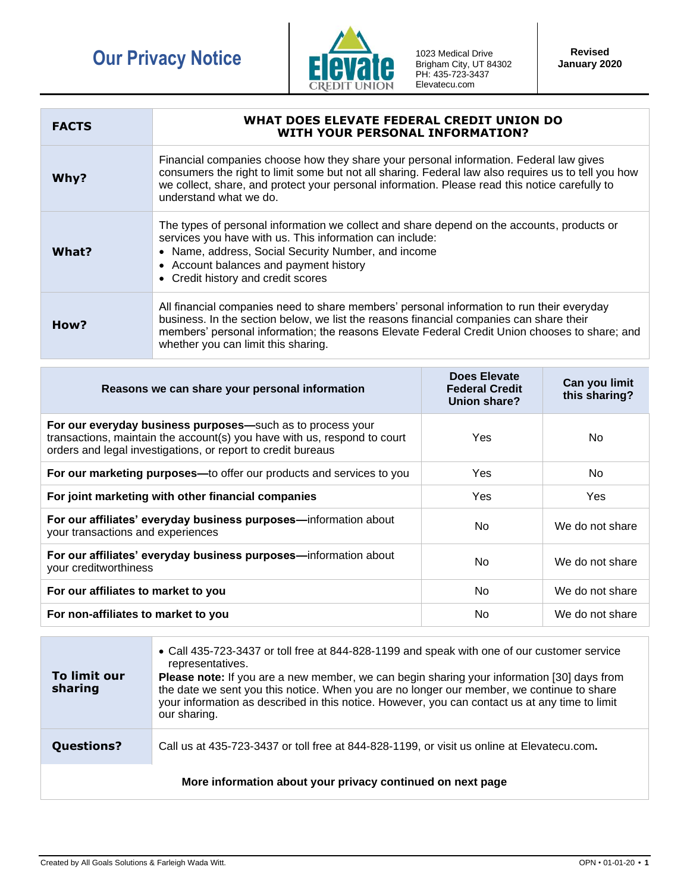## **Our Privacy Notice 1023 Medical Drive**



Brigham City, UT 84302 PH: 435-723-3437 Elevatecu.com

| <b>FACTS</b> | WHAT DOES ELEVATE FEDERAL CREDIT UNION DO<br>WITH YOUR PERSONAL INFORMATION?                                                                                                                                                                                                                                                 |
|--------------|------------------------------------------------------------------------------------------------------------------------------------------------------------------------------------------------------------------------------------------------------------------------------------------------------------------------------|
| Why?         | Financial companies choose how they share your personal information. Federal law gives<br>consumers the right to limit some but not all sharing. Federal law also requires us to tell you how<br>we collect, share, and protect your personal information. Please read this notice carefully to<br>understand what we do.    |
| What?        | The types of personal information we collect and share depend on the accounts, products or<br>services you have with us. This information can include:<br>• Name, address, Social Security Number, and income<br>• Account balances and payment history<br>• Credit history and credit scores                                |
| How?         | All financial companies need to share members' personal information to run their everyday<br>business. In the section below, we list the reasons financial companies can share their<br>members' personal information; the reasons Elevate Federal Credit Union chooses to share; and<br>whether you can limit this sharing. |

| Reasons we can share your personal information                                                                                                                                                         | Does Elevate<br><b>Federal Credit</b><br>Union share? | Can you limit<br>this sharing? |
|--------------------------------------------------------------------------------------------------------------------------------------------------------------------------------------------------------|-------------------------------------------------------|--------------------------------|
| For our everyday business purposes-such as to process your<br>transactions, maintain the account(s) you have with us, respond to court<br>orders and legal investigations, or report to credit bureaus | <b>Yes</b>                                            | No.                            |
| For our marketing purposes—to offer our products and services to you                                                                                                                                   | <b>Yes</b>                                            | No.                            |
| For joint marketing with other financial companies                                                                                                                                                     | Yes                                                   | Yes                            |
| For our affiliates' everyday business purposes-information about<br>your transactions and experiences                                                                                                  | No.                                                   | We do not share                |
| For our affiliates' everyday business purposes-information about<br>your creditworthiness                                                                                                              | No.                                                   | We do not share                |
| For our affiliates to market to you                                                                                                                                                                    | N <sub>o</sub>                                        | We do not share                |
| For non-affiliates to market to you                                                                                                                                                                    | No.                                                   | We do not share                |

| To limit our<br>sharing                                    | • Call 435-723-3437 or toll free at 844-828-1199 and speak with one of our customer service<br>representatives.<br><b>Please note:</b> If you are a new member, we can begin sharing your information [30] days from<br>the date we sent you this notice. When you are no longer our member, we continue to share<br>your information as described in this notice. However, you can contact us at any time to limit<br>our sharing. |  |
|------------------------------------------------------------|-------------------------------------------------------------------------------------------------------------------------------------------------------------------------------------------------------------------------------------------------------------------------------------------------------------------------------------------------------------------------------------------------------------------------------------|--|
| <b>Questions?</b>                                          | Call us at 435-723-3437 or toll free at 844-828-1199, or visit us online at Elevatecu.com.                                                                                                                                                                                                                                                                                                                                          |  |
| More information about your privacy continued on next page |                                                                                                                                                                                                                                                                                                                                                                                                                                     |  |